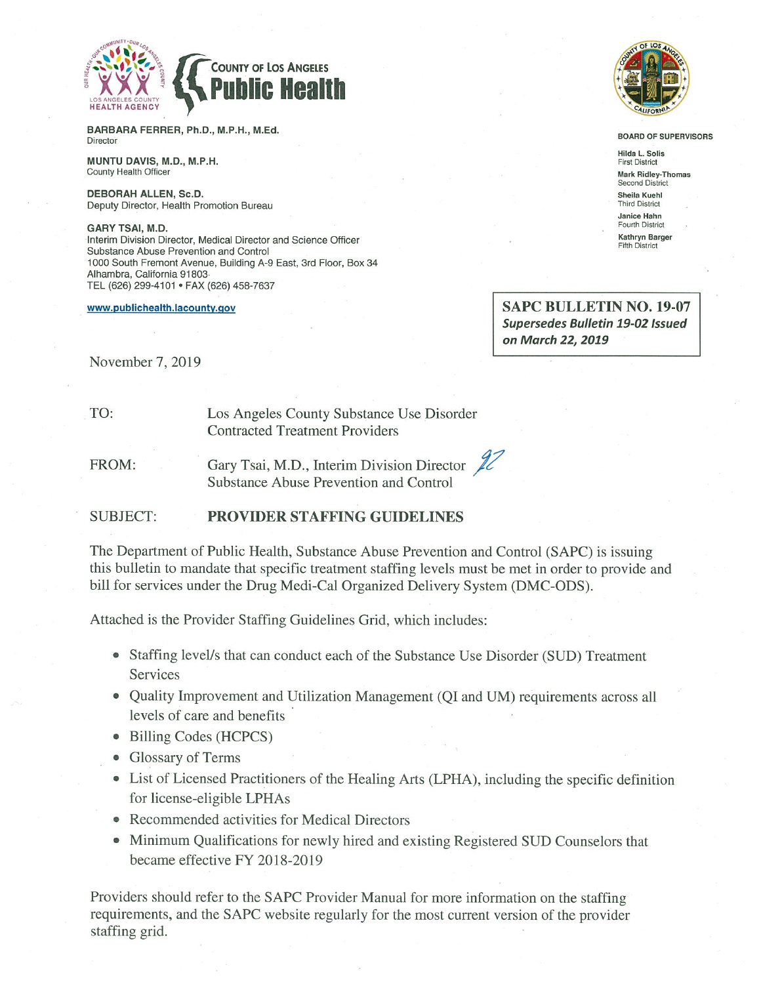

BARBARA FERRER, Ph.D., M.P.H., M.Ed. Director

MUNTU DAVIS, M.D., M.P.H. County Health Officer

DEBORAH ALLEN, Sc.D. Deputy Director, Health Promotion Bureau

**GARY TSAI, M.D.** Interim Division Director, Medical Director and Science Officer Substance Abuse Prevention and Control 1000 South Fremont Avenue, Building A-9 East, 3rd Floor, Box 34 Alhambra, California 91803 TEL (626) 299-4101 · FAX (626) 458-7637

www.publichealth.lacounty.gov



BOARD OF SUPERVISORS

Hilda L. Solis **First District Mark Ridley-Thomas** Second Distric Sheila Kuehl **Third District** Janice Hahn Fourth District Kathryn Barger Fifth District

**SAPC BULLETIN NO. 19-07 Supersedes Bulletin 19-02 Issued** on March 22, 2019

November 7, 2019

Los Angeles County Substance Use Disorder **Contracted Treatment Providers** 

FROM:

TO:

Gary Tsai, M.D., Interim Division Director  $\mathcal{U}$ Substance Abuse Prevention and Control

#### **SUBJECT: PROVIDER STAFFING GUIDELINES**

The Department of Public Health, Substance Abuse Prevention and Control (SAPC) is issuing this bullet in to mandate that specific treatment staffing levels must be met in order to provide and bill for services under the Drug Medi-Cal Organized Delivery System (DMC-ODS).

Attached is the Provider Staffing Guidelines Grid, which includes:

- Staffing level/s that can conduct each of the Substance Use Disorder (SUD) Treatment Services
- Quality Improvement and Utilization Management (QI and UM) requirements across all levels of care and benefits
- Billing Codes (HCPCS)
- Glossary of Terms
- List of Licensed Practitioners of the Healing Arts (LPHA), including the specific definition for license-eligible LPHAs
- Recommended activities for Medical Directors
- Minimum Qualifications for newly hired and existing Registered SUD Counselors that became effective FY 2018-2019

Providers should refer to the SAPC Provider Manual for more information on the staffing requirements, and the SAPC website regularly for the most current version of the provider staffing grid.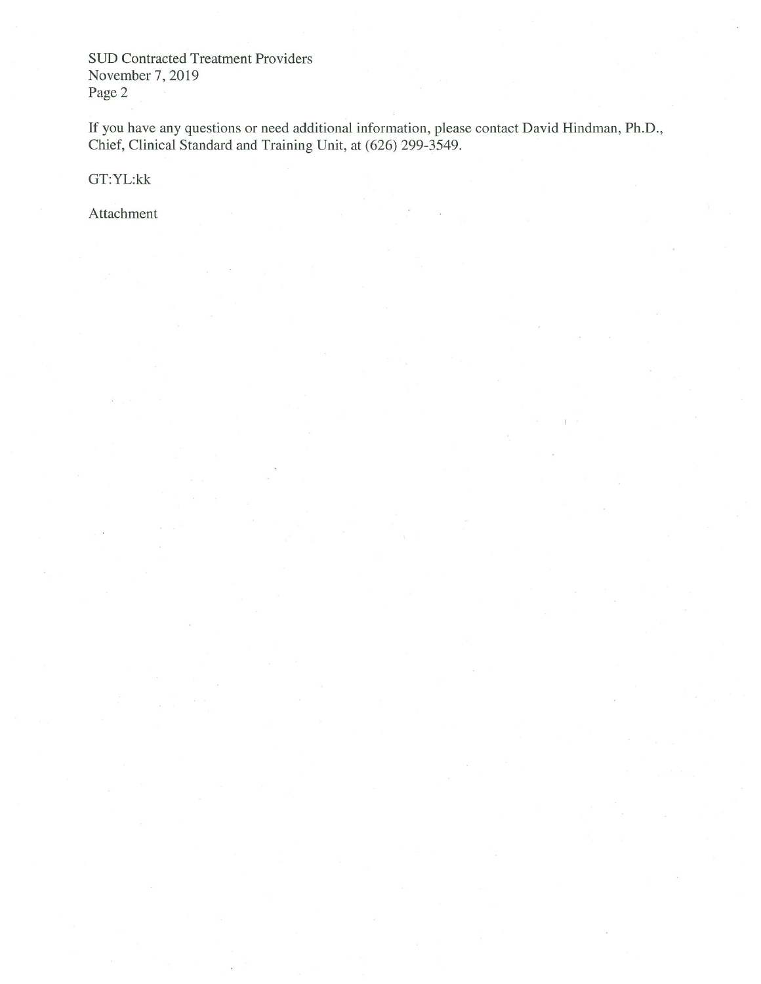**SUD Contracted Treatment Providers** November 7, 2019 Page 2

If you have any questions or need additional information, please contact David Hindman, Ph.D., Chief, Clinical Standard and Training Unit, at (626) 299-3549.

GT:YL:kk

Attachment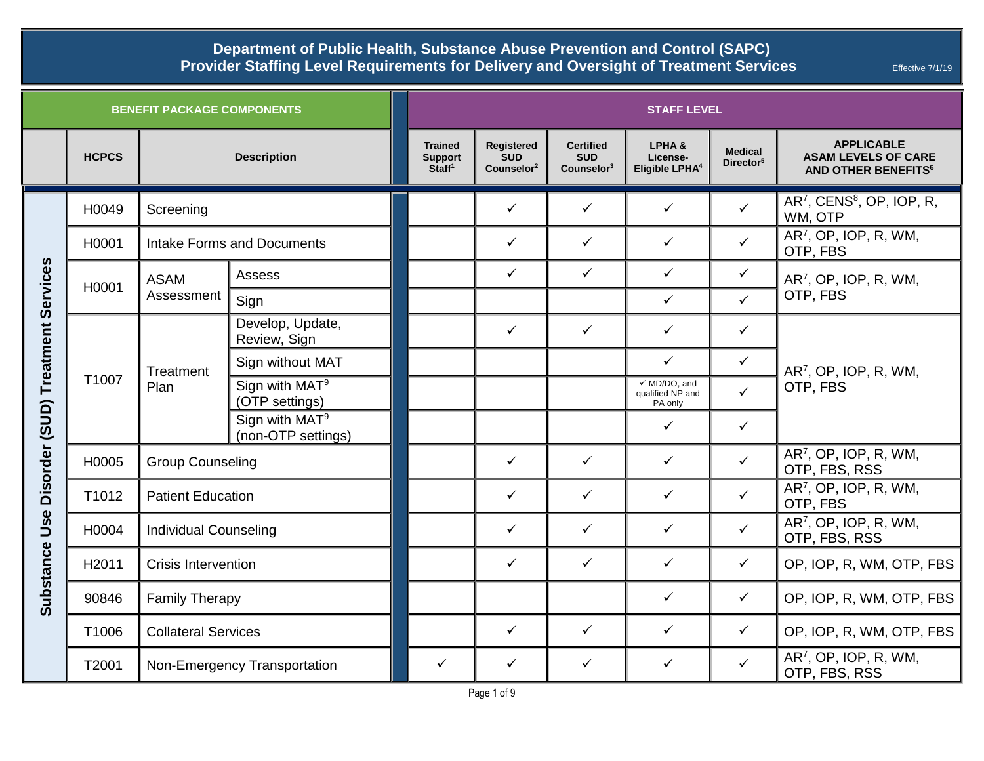| <b>BENEFIT PACKAGE COMPONENTS</b>                     |              |                                   |                                                  | <b>STAFF LEVEL</b>                                     |                                                    |                                                        |                                                        |                                         |                                                                                          |  |
|-------------------------------------------------------|--------------|-----------------------------------|--------------------------------------------------|--------------------------------------------------------|----------------------------------------------------|--------------------------------------------------------|--------------------------------------------------------|-----------------------------------------|------------------------------------------------------------------------------------------|--|
|                                                       | <b>HCPCS</b> |                                   | <b>Description</b>                               | <b>Trained</b><br><b>Support</b><br>Staff <sup>1</sup> | Registered<br><b>SUD</b><br>Counselor <sup>2</sup> | <b>Certified</b><br><b>SUD</b><br>$\textsf{Counter}^3$ | LPHA&<br>License-<br>Eligible LPHA <sup>4</sup>        | <b>Medical</b><br>Director <sup>5</sup> | <b>APPLICABLE</b><br><b>ASAM LEVELS OF CARE</b><br><b>AND OTHER BENEFITS<sup>6</sup></b> |  |
| Disorder (SUD) Treatment Services<br>Use<br>Substance | H0049        | Screening                         |                                                  |                                                        | $\checkmark$                                       | $\checkmark$                                           | $\checkmark$                                           | $\checkmark$                            | $AR7$ , CENS <sup>8</sup> , OP, IOP, R,<br>WM, OTP                                       |  |
|                                                       | H0001        | <b>Intake Forms and Documents</b> |                                                  |                                                        | $\checkmark$                                       | $\checkmark$                                           | $\checkmark$                                           | $\checkmark$                            | AR <sup>7</sup> , OP, IOP, R, WM,<br>OTP, FBS                                            |  |
|                                                       | H0001        | <b>ASAM</b><br>Assessment         | Assess                                           |                                                        | $\checkmark$                                       | $\checkmark$                                           | $\checkmark$                                           | $\checkmark$                            | AR <sup>7</sup> , OP, IOP, R, WM,                                                        |  |
|                                                       |              |                                   | Sign                                             |                                                        |                                                    |                                                        | $\checkmark$                                           | $\checkmark$                            | OTP, FBS                                                                                 |  |
|                                                       | T1007        | Treatment<br>Plan                 | Develop, Update,<br>Review, Sign                 |                                                        | $\checkmark$                                       | $\checkmark$                                           | $\checkmark$                                           | $\checkmark$                            | AR <sup>7</sup> , OP, IOP, R, WM,<br>OTP, FBS                                            |  |
|                                                       |              |                                   | Sign without MAT                                 |                                                        |                                                    |                                                        | $\checkmark$                                           | $\checkmark$                            |                                                                                          |  |
|                                                       |              |                                   | Sign with MAT <sup>9</sup><br>(OTP settings)     |                                                        |                                                    |                                                        | $\checkmark$ MD/DO, and<br>qualified NP and<br>PA only | $\checkmark$                            |                                                                                          |  |
|                                                       |              |                                   | Sign with MAT <sup>9</sup><br>(non-OTP settings) |                                                        |                                                    |                                                        | $\checkmark$                                           | $\checkmark$                            |                                                                                          |  |
|                                                       | H0005        | <b>Group Counseling</b>           |                                                  |                                                        | $\checkmark$                                       | $\checkmark$                                           | $\checkmark$                                           | $\checkmark$                            | AR <sup>7</sup> , OP, IOP, R, WM,<br>OTP, FBS, RSS                                       |  |
|                                                       | T1012        | <b>Patient Education</b>          |                                                  |                                                        | $\checkmark$                                       | $\checkmark$                                           | $\checkmark$                                           | $\checkmark$                            | AR <sup>7</sup> , OP, IOP, R, WM,<br>OTP, FBS                                            |  |
|                                                       | H0004        | <b>Individual Counseling</b>      |                                                  |                                                        | $\checkmark$                                       | $\checkmark$                                           | $\checkmark$                                           | $\checkmark$                            | AR <sup>7</sup> , OP, IOP, R, WM,<br>OTP, FBS, RSS                                       |  |
|                                                       | H2011        | <b>Crisis Intervention</b>        |                                                  |                                                        | $\checkmark$                                       | $\checkmark$                                           | ✓                                                      | ✓                                       | OP, IOP, R, WM, OTP, FBS                                                                 |  |
|                                                       | 90846        | <b>Family Therapy</b>             |                                                  |                                                        |                                                    |                                                        | $\checkmark$                                           | $\checkmark$                            | OP, IOP, R, WM, OTP, FBS                                                                 |  |
|                                                       | T1006        | <b>Collateral Services</b>        |                                                  |                                                        | $\checkmark$                                       | $\checkmark$                                           | $\checkmark$                                           | $\checkmark$                            | OP, IOP, R, WM, OTP, FBS                                                                 |  |
|                                                       | T2001        | Non-Emergency Transportation      |                                                  | $\checkmark$                                           | $\checkmark$                                       | $\checkmark$                                           | $\checkmark$                                           | $\checkmark$                            | AR <sup>7</sup> , OP, IOP, R, WM,<br>OTP, FBS, RSS                                       |  |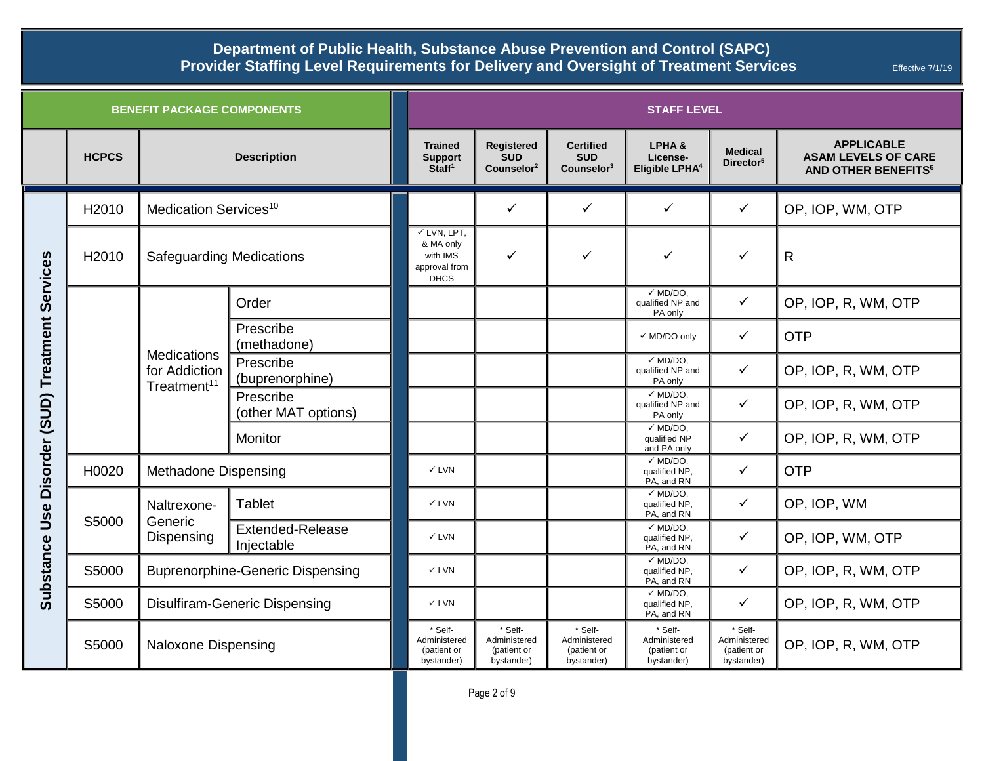| <b>BENEFIT PACKAGE COMPONENTS</b> |              |                                                                |                                       | <b>STAFF LEVEL</b>                                                              |                                                      |                                                          |                                                      |                                                      |                                                                                          |  |
|-----------------------------------|--------------|----------------------------------------------------------------|---------------------------------------|---------------------------------------------------------------------------------|------------------------------------------------------|----------------------------------------------------------|------------------------------------------------------|------------------------------------------------------|------------------------------------------------------------------------------------------|--|
|                                   | <b>HCPCS</b> |                                                                | <b>Description</b>                    | <b>Trained</b><br><b>Support</b><br>Staff <sup>1</sup>                          | Registered<br><b>SUD</b><br>Counselor <sup>2</sup>   | <b>Certified</b><br><b>SUD</b><br>Counselor <sup>3</sup> | LPHA&<br>License-<br>Eligible LPHA <sup>4</sup>      | <b>Medical</b><br>Director <sup>5</sup>              | <b>APPLICABLE</b><br><b>ASAM LEVELS OF CARE</b><br><b>AND OTHER BENEFITS<sup>6</sup></b> |  |
|                                   | H2010        | Medication Services <sup>10</sup>                              |                                       |                                                                                 | $\checkmark$                                         | $\checkmark$                                             | $\checkmark$                                         | $\checkmark$                                         | OP, IOP, WM, OTP                                                                         |  |
| Services                          | H2010        | <b>Safeguarding Medications</b>                                |                                       | $\checkmark$ LVN, LPT,<br>& MA only<br>with IMS<br>approval from<br><b>DHCS</b> | $\checkmark$                                         | $\checkmark$                                             | ✓                                                    | ✓                                                    | $\mathsf{R}$                                                                             |  |
|                                   |              | <b>Medications</b><br>for Addiction<br>Treatment <sup>11</sup> | Order                                 |                                                                                 |                                                      |                                                          | $\checkmark$ MD/DO,<br>qualified NP and<br>PA only   | $\checkmark$                                         | OP, IOP, R, WM, OTP                                                                      |  |
|                                   |              |                                                                | Prescribe<br>(methadone)              |                                                                                 |                                                      |                                                          | √ MD/DO only                                         | ✓                                                    | <b>OTP</b>                                                                               |  |
| Disorder (SUD) Treatment          |              |                                                                | Prescribe<br>(buprenorphine)          |                                                                                 |                                                      |                                                          | $\checkmark$ MD/DO.<br>qualified NP and<br>PA only   | $\checkmark$                                         | OP, IOP, R, WM, OTP                                                                      |  |
|                                   |              |                                                                | Prescribe<br>(other MAT options)      |                                                                                 |                                                      |                                                          | $\times$ MD/DO.<br>qualified NP and<br>PA only       | $\checkmark$                                         | OP, IOP, R, WM, OTP                                                                      |  |
|                                   |              |                                                                | Monitor                               |                                                                                 |                                                      |                                                          | $\checkmark$ MD/DO,<br>qualified NP<br>and PA only   | $\checkmark$                                         | OP, IOP, R, WM, OTP                                                                      |  |
|                                   | H0020        | <b>Methadone Dispensing</b>                                    |                                       | $\checkmark$ LVN                                                                |                                                      |                                                          | $\checkmark$ MD/DO.<br>qualified NP,<br>PA, and RN   | $\checkmark$                                         | <b>OTP</b>                                                                               |  |
| Use<br>Substance                  | S5000        | Naltrexone-<br>Generic<br>Dispensing                           | Tablet                                | $\checkmark$ LVN                                                                |                                                      |                                                          | $\checkmark$ MD/DO.<br>qualified NP<br>PA, and RN    | $\checkmark$                                         | OP, IOP, WM                                                                              |  |
|                                   |              |                                                                | <b>Extended-Release</b><br>Injectable | $\checkmark$ LVN                                                                |                                                      |                                                          | $\checkmark$ MD/DO,<br>qualified NP,<br>PA, and RN   | $\checkmark$                                         | OP, IOP, WM, OTP                                                                         |  |
|                                   | S5000        | <b>Buprenorphine-Generic Dispensing</b>                        |                                       | $\checkmark$ LVN                                                                |                                                      |                                                          | $\checkmark$ MD/DO,<br>qualified NP,<br>PA, and RN   | $\checkmark$                                         | OP, IOP, R, WM, OTP                                                                      |  |
|                                   | S5000        | <b>Disulfiram-Generic Dispensing</b>                           |                                       | $\checkmark$ LVN                                                                |                                                      |                                                          | $\checkmark$ MD/DO,<br>qualified NP,<br>PA, and RN   | $\checkmark$                                         | OP, IOP, R, WM, OTP                                                                      |  |
|                                   | S5000        | <b>Naloxone Dispensing</b>                                     |                                       | * Self-<br>Administered<br>(patient or<br>bystander)                            | * Self-<br>Administered<br>(patient or<br>bystander) | * Self-<br>Administered<br>(patient or<br>bystander)     | * Self-<br>Administered<br>(patient or<br>bystander) | * Self-<br>Administered<br>(patient or<br>bystander) | OP, IOP, R, WM, OTP                                                                      |  |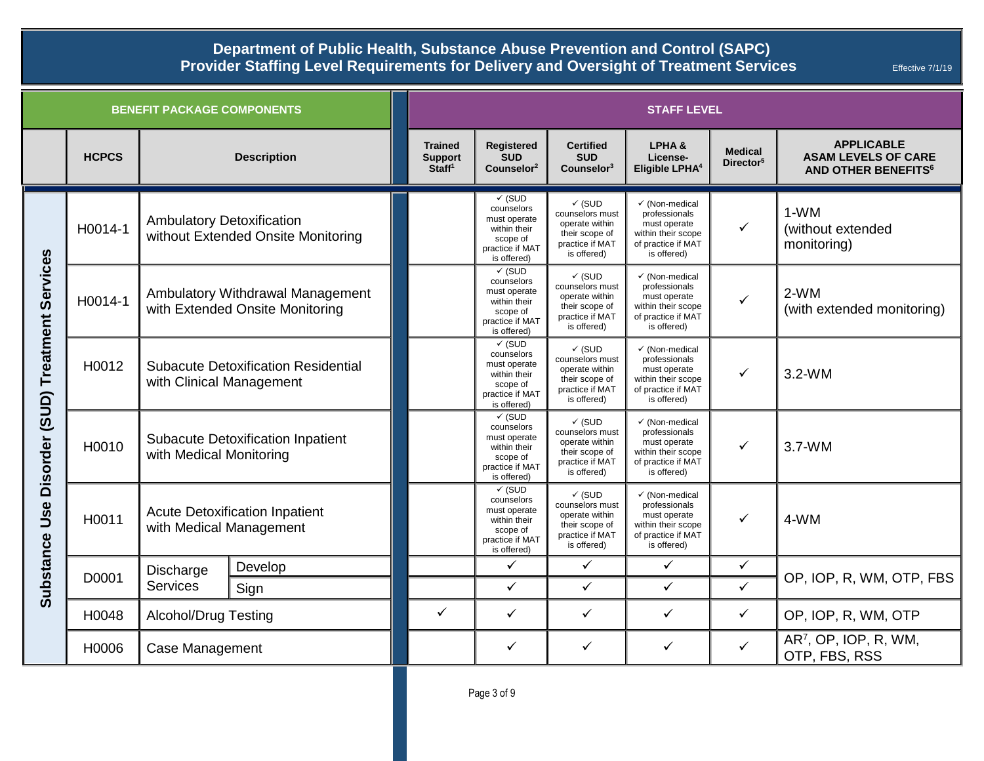| <b>BENEFIT PACKAGE COMPONENTS</b>                        |              |                                                                        |         |                                                        | <b>STAFF LEVEL</b>                                                                                            |                                                                                                            |                                                                                                                       |                                         |                                                                                          |  |  |
|----------------------------------------------------------|--------------|------------------------------------------------------------------------|---------|--------------------------------------------------------|---------------------------------------------------------------------------------------------------------------|------------------------------------------------------------------------------------------------------------|-----------------------------------------------------------------------------------------------------------------------|-----------------------------------------|------------------------------------------------------------------------------------------|--|--|
|                                                          | <b>HCPCS</b> | <b>Description</b>                                                     |         | <b>Trained</b><br><b>Support</b><br>Staff <sup>1</sup> | Registered<br><b>SUD</b><br>Counselor <sup>2</sup>                                                            | <b>Certified</b><br><b>SUD</b><br>Counter3                                                                 | LPHA&<br>License-<br>Eligible LPHA <sup>4</sup>                                                                       | <b>Medical</b><br>Director <sup>5</sup> | <b>APPLICABLE</b><br><b>ASAM LEVELS OF CARE</b><br><b>AND OTHER BENEFITS<sup>6</sup></b> |  |  |
| Services<br>Treatment<br>(SUD)<br><b>Disorder</b><br>Use | H0014-1      | <b>Ambulatory Detoxification</b><br>without Extended Onsite Monitoring |         |                                                        | $\checkmark$ (SUD<br>counselors<br>must operate<br>within their<br>scope of<br>practice if MAT<br>is offered) | $\checkmark$ (SUD<br>counselors must<br>operate within<br>their scope of<br>practice if MAT<br>is offered) | √ (Non-medical<br>professionals<br>must operate<br>within their scope<br>of practice if MAT<br>is offered)            | $\checkmark$                            | 1-WM<br>(without extended<br>monitoring)                                                 |  |  |
|                                                          | H0014-1      | Ambulatory Withdrawal Management<br>with Extended Onsite Monitoring    |         |                                                        | $\checkmark$ (SUD<br>counselors<br>must operate<br>within their<br>scope of<br>practice if MAT<br>is offered) | $\checkmark$ (SUD<br>counselors must<br>operate within<br>their scope of<br>practice if MAT<br>is offered) | $\checkmark$ (Non-medical<br>professionals<br>must operate<br>within their scope<br>of practice if MAT<br>is offered) | ✓                                       | $2-WM$<br>(with extended monitoring)                                                     |  |  |
|                                                          | H0012        | <b>Subacute Detoxification Residential</b><br>with Clinical Management |         |                                                        | $\checkmark$ (SUD<br>counselors<br>must operate<br>within their<br>scope of<br>practice if MAT<br>is offered) | $\checkmark$ (SUD<br>counselors must<br>operate within<br>their scope of<br>practice if MAT<br>is offered) | √ (Non-medical<br>professionals<br>must operate<br>within their scope<br>of practice if MAT<br>is offered)            | ✓                                       | $3.2-WM$                                                                                 |  |  |
|                                                          | H0010        | <b>Subacute Detoxification Inpatient</b><br>with Medical Monitoring    |         |                                                        | $\checkmark$ (SUD<br>counselors<br>must operate<br>within their<br>scope of<br>practice if MAT<br>is offered) | $\checkmark$ (SUD<br>counselors must<br>operate within<br>their scope of<br>practice if MAT<br>is offered) | √ (Non-medical<br>professionals<br>must operate<br>within their scope<br>of practice if MAT<br>is offered)            | ✓                                       | $3.7-WM$                                                                                 |  |  |
|                                                          | H0011        | <b>Acute Detoxification Inpatient</b><br>with Medical Management       |         |                                                        | $\checkmark$ (SUD<br>counselors<br>must operate<br>within their<br>scope of<br>practice if MAT<br>is offered) | $\checkmark$ (SUD<br>counselors must<br>operate within<br>their scope of<br>practice if MAT<br>is offered) | √ (Non-medical<br>professionals<br>must operate<br>within their scope<br>of practice if MAT<br>is offered)            | ✓                                       | 4-WM                                                                                     |  |  |
|                                                          | D0001        | Discharge                                                              | Develop |                                                        | $\checkmark$                                                                                                  | $\checkmark$                                                                                               | $\checkmark$                                                                                                          | $\checkmark$                            | OP, IOP, R, WM, OTP, FBS                                                                 |  |  |
| <b>Substance</b>                                         |              | <b>Services</b>                                                        | Sign    |                                                        | $\checkmark$                                                                                                  | $\checkmark$                                                                                               | $\checkmark$                                                                                                          | $\checkmark$                            |                                                                                          |  |  |
|                                                          | H0048        | <b>Alcohol/Drug Testing</b>                                            |         | ✓                                                      | $\checkmark$                                                                                                  | $\checkmark$                                                                                               | ✓                                                                                                                     | $\checkmark$                            | OP, IOP, R, WM, OTP                                                                      |  |  |
|                                                          | H0006        | Case Management                                                        |         |                                                        | ✓                                                                                                             | ✓                                                                                                          | ✓                                                                                                                     | $\checkmark$                            | AR <sup>7</sup> , OP, IOP, R, WM,<br>OTP, FBS, RSS                                       |  |  |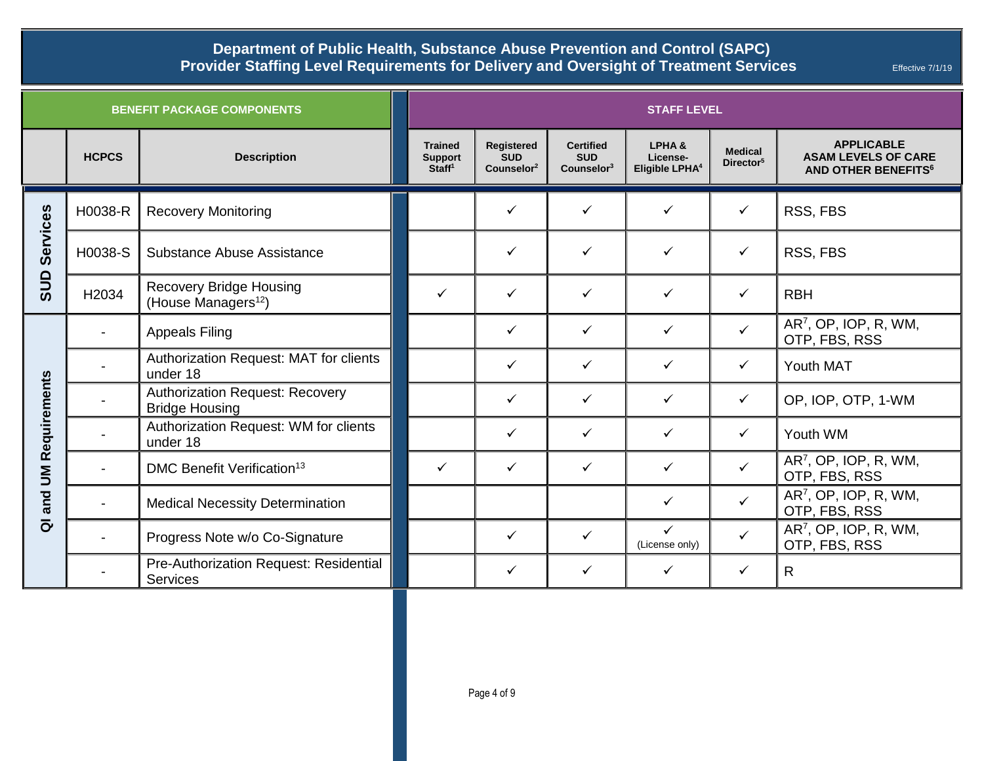|                                                 |              | <b>BENEFIT PACKAGE COMPONENTS</b>                                 | <b>STAFF LEVEL</b>                                     |                                                    |                                                          |                                                 |                                         |                                                                                          |  |
|-------------------------------------------------|--------------|-------------------------------------------------------------------|--------------------------------------------------------|----------------------------------------------------|----------------------------------------------------------|-------------------------------------------------|-----------------------------------------|------------------------------------------------------------------------------------------|--|
|                                                 | <b>HCPCS</b> | <b>Description</b>                                                | <b>Trained</b><br><b>Support</b><br>Staff <sup>1</sup> | Registered<br><b>SUD</b><br>Counselor <sup>2</sup> | <b>Certified</b><br><b>SUD</b><br>Counselor <sup>3</sup> | LPHA&<br>License-<br>Eligible LPHA <sup>4</sup> | <b>Medical</b><br>Director <sup>5</sup> | <b>APPLICABLE</b><br><b>ASAM LEVELS OF CARE</b><br><b>AND OTHER BENEFITS<sup>6</sup></b> |  |
|                                                 | H0038-R      | <b>Recovery Monitoring</b>                                        |                                                        | $\checkmark$                                       | $\checkmark$                                             | ✓                                               | ✓                                       | RSS, FBS                                                                                 |  |
| Services<br>SUD                                 | H0038-S      | Substance Abuse Assistance                                        |                                                        | $\checkmark$                                       | $\checkmark$                                             | ✓                                               | ✓                                       | RSS, FBS                                                                                 |  |
|                                                 | H2034        | <b>Recovery Bridge Housing</b><br>(House Managers <sup>12</sup> ) | $\checkmark$                                           | $\checkmark$                                       | $\checkmark$                                             | ✓                                               | ✓                                       | <b>RBH</b>                                                                               |  |
| <b>UM Requirements</b><br>and<br>$\overline{a}$ |              | <b>Appeals Filing</b>                                             |                                                        | $\checkmark$                                       | $\checkmark$                                             | $\checkmark$                                    | ✓                                       | AR <sup>7</sup> , OP, IOP, R, WM,<br>OTP, FBS, RSS                                       |  |
|                                                 |              | Authorization Request: MAT for clients<br>under 18                |                                                        | $\checkmark$                                       | $\checkmark$                                             | ✓                                               | ✓                                       | Youth MAT                                                                                |  |
|                                                 |              | <b>Authorization Request: Recovery</b><br><b>Bridge Housing</b>   |                                                        | $\checkmark$                                       | $\checkmark$                                             | ✓                                               | ✓                                       | OP, IOP, OTP, 1-WM                                                                       |  |
|                                                 |              | Authorization Request: WM for clients<br>under 18                 |                                                        | $\checkmark$                                       | $\checkmark$                                             | $\checkmark$                                    | $\checkmark$                            | Youth WM                                                                                 |  |
|                                                 |              | DMC Benefit Verification <sup>13</sup>                            | $\checkmark$                                           | $\checkmark$                                       | $\checkmark$                                             | $\checkmark$                                    | $\checkmark$                            | $AR7$ , OP, IOP, R, WM,<br>OTP, FBS, RSS                                                 |  |
|                                                 |              | <b>Medical Necessity Determination</b>                            |                                                        |                                                    |                                                          | $\checkmark$                                    | $\checkmark$                            | AR <sup>7</sup> , OP, IOP, R, WM,<br>OTP, FBS, RSS                                       |  |
|                                                 |              | Progress Note w/o Co-Signature                                    |                                                        | $\checkmark$                                       | $\checkmark$                                             | ✓<br>(License only)                             | $\checkmark$                            | AR <sup>7</sup> , OP, IOP, R, WM,<br>OTP, FBS, RSS                                       |  |
|                                                 |              | Pre-Authorization Request: Residential<br><b>Services</b>         |                                                        | $\checkmark$                                       | $\checkmark$                                             | $\checkmark$                                    | $\checkmark$                            | R                                                                                        |  |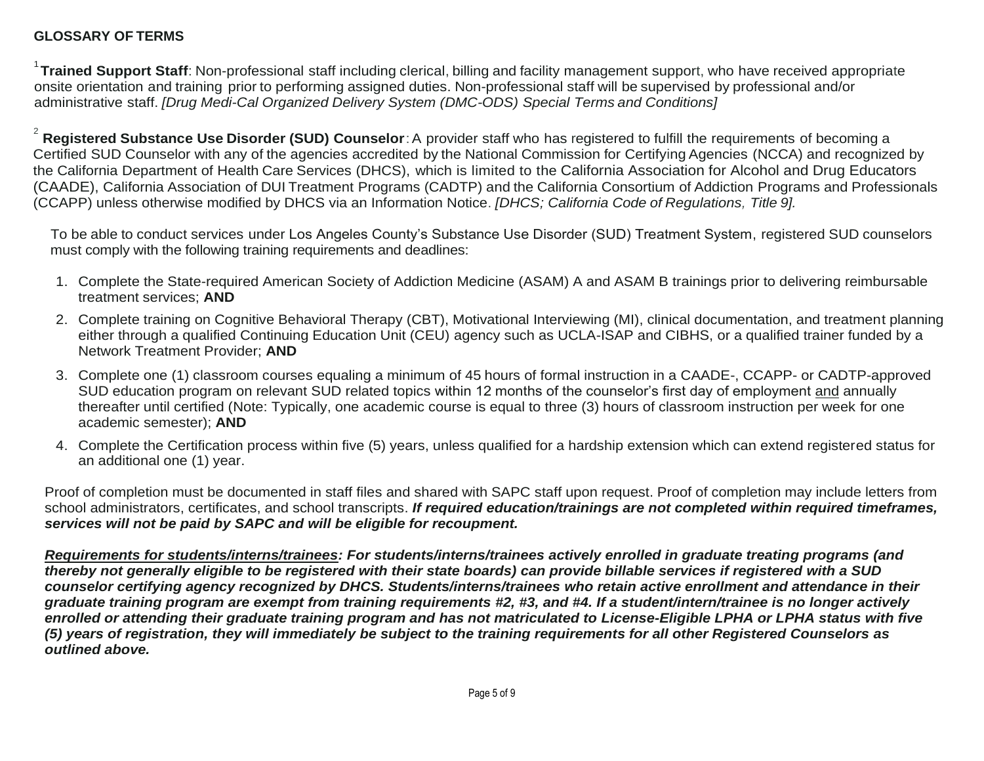## **GLOSSARY OF TERMS**

1 **Trained Support Staff**: Non-professional staff including clerical, billing and facility management support, who have received appropriate onsite orientation and training prior to performing assigned duties. Non-professional staff will be supervised by professional and/or administrative staff. *[Drug Medi-Cal Organized Delivery System (DMC-ODS) Special Terms and Conditions]*

2 **Registered Substance Use Disorder (SUD) Counselor**:A provider staff who has registered to fulfill the requirements of becoming a Certified SUD Counselor with any of the agencies accredited by the National Commission for Certifying Agencies (NCCA) and recognized by the California Department of Health Care Services (DHCS), which is limited to the California Association for Alcohol and Drug Educators (CAADE), California Association of DUI Treatment Programs (CADTP) and the California Consortium of Addiction Programs and Professionals (CCAPP) unless otherwise modified by DHCS via an Information Notice. *[DHCS; California Code of Regulations, Title 9].*

To be able to conduct services under Los Angeles County's Substance Use Disorder (SUD) Treatment System, registered SUD counselors must comply with the following training requirements and deadlines:

- 1. Complete the State-required American Society of Addiction Medicine (ASAM) A and ASAM B trainings prior to delivering reimbursable treatment services; **AND**
- 2. Complete training on Cognitive Behavioral Therapy (CBT), Motivational Interviewing (MI), clinical documentation, and treatment planning either through a qualified Continuing Education Unit (CEU) agency such as UCLA-ISAP and CIBHS, or a qualified trainer funded by a Network Treatment Provider; **AND**
- 3. Complete one (1) classroom courses equaling a minimum of 45 hours of formal instruction in a CAADE-, CCAPP- or CADTP-approved SUD education program on relevant SUD related topics within 12 months of the counselor's first day of employment and annually thereafter until certified (Note: Typically, one academic course is equal to three (3) hours of classroom instruction per week for one academic semester); **AND**
- 4. Complete the Certification process within five (5) years, unless qualified for a hardship extension which can extend registered status for an additional one (1) year.

Proof of completion must be documented in staff files and shared with SAPC staff upon request. Proof of completion may include letters from school administrators, certificates, and school transcripts. *If required education/trainings are not completed within required timeframes, services will not be paid by SAPC and will be eligible for recoupment.*

*Requirements for students/interns/trainees: For students/interns/trainees actively enrolled in graduate treating programs (and thereby not generally eligible to be registered with their state boards) can provide billable services if registered with a SUD counselor certifying agency recognized by DHCS. Students/interns/trainees who retain active enrollment and attendance in their graduate training program are exempt from training requirements #2, #3, and #4. If a student/intern/trainee is no longer actively enrolled or attending their graduate training program and has not matriculated to License-Eligible LPHA or LPHA status with five (5) years of registration, they will immediately be subject to the training requirements for all other Registered Counselors as outlined above.*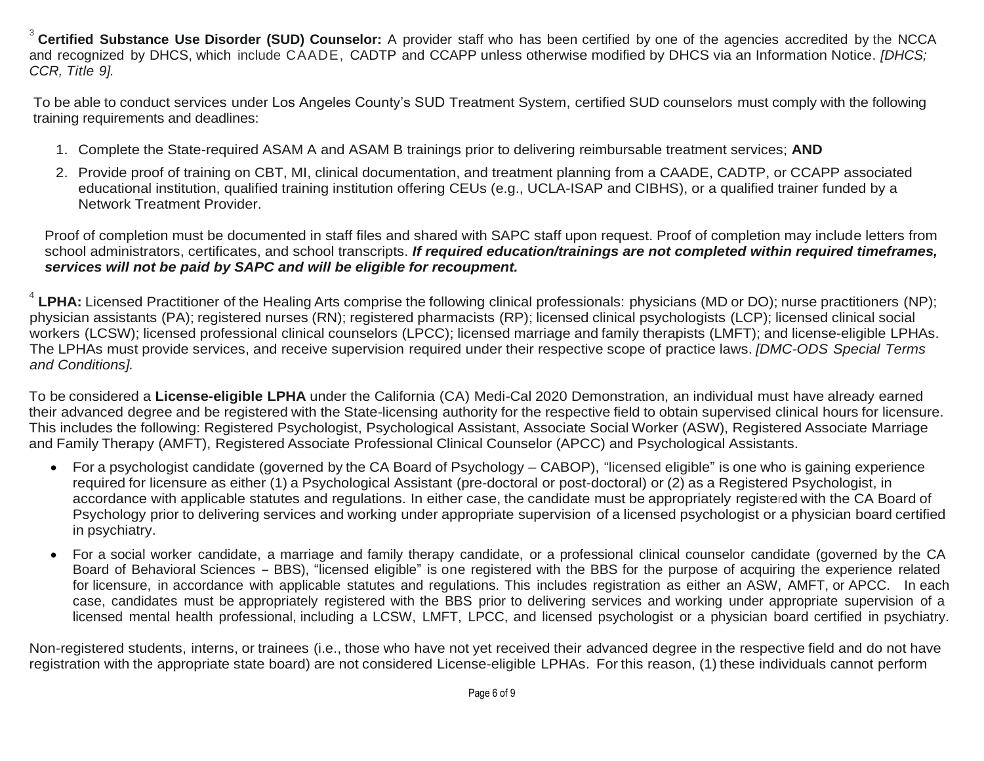3 **Certified Substance Use Disorder (SUD) Counselor:** A provider staff who has been certified by one of the agencies accredited by the NCCA and recognized by DHCS, which include CAADE, CADTP and CCAPP unless otherwise modified by DHCS via an Information Notice. *[DHCS; CCR, Title 9].*

To be able to conduct services under Los Angeles County's SUD Treatment System, certified SUD counselors must comply with the following training requirements and deadlines:

- 1. Complete the State-required ASAM A and ASAM B trainings prior to delivering reimbursable treatment services; **AND**
- 2. Provide proof of training on CBT, MI, clinical documentation, and treatment planning from a CAADE, CADTP, or CCAPP associated educational institution, qualified training institution offering CEUs (e.g., UCLA-ISAP and CIBHS), or a qualified trainer funded by a Network Treatment Provider.

Proof of completion must be documented in staff files and shared with SAPC staff upon request. Proof of completion may include letters from school administrators, certificates, and school transcripts. *If required education/trainings are not completed within required timeframes, services will not be paid by SAPC and will be eligible for recoupment.*

<sup>4</sup> LPHA: Licensed Practitioner of the Healing Arts comprise the following clinical professionals: physicians (MD or DO); nurse practitioners (NP); physician assistants (PA); registered nurses (RN); registered pharmacists (RP); licensed clinical psychologists (LCP); licensed clinical social workers (LCSW); licensed professional clinical counselors (LPCC); licensed marriage and family therapists (LMFT); and license-eligible LPHAs. The LPHAs must provide services, and receive supervision required under their respective scope of practice laws. *[DMC-ODS Special Terms and Conditions].*

To be considered a **License-eligible LPHA** under the California (CA) Medi-Cal 2020 Demonstration, an individual must have already earned their advanced degree and be registered with the State-licensing authority for the respective field to obtain supervised clinical hours for licensure. This includes the following: Registered Psychologist, Psychological Assistant, Associate Social Worker (ASW), Registered Associate Marriage and Family Therapy (AMFT), Registered Associate Professional Clinical Counselor (APCC) and Psychological Assistants.

- For a psychologist candidate (governed by the CA Board of Psychology CABOP), "licensed eligible" is one who is gaining experience required for licensure as either (1) a Psychological Assistant (pre-doctoral or post-doctoral) or (2) as a Registered Psychologist, in accordance with applicable statutes and regulations. In either case, the candidate must be appropriately registered with the CA Board of Psychology prior to delivering services and working under appropriate supervision of a licensed psychologist or a physician board certified in psychiatry.
- For a social worker candidate, a marriage and family therapy candidate, or a professional clinical counselor candidate (governed by the CA Board of Behavioral Sciences - BBS), "licensed eligible" is one registered with the BBS for the purpose of acquiring the experience related for licensure, in accordance with applicable statutes and regulations. This includes registration as either an ASW, AMFT, or APCC. In each case, candidates must be appropriately registered with the BBS prior to delivering services and working under appropriate supervision of a licensed mental health professional, including a LCSW, LMFT, LPCC, and licensed psychologist or a physician board certified in psychiatry.

Non-registered students, interns, or trainees (i.e., those who have not yet received their advanced degree in the respective field and do not have registration with the appropriate state board) are not considered License-eligible LPHAs. For this reason, (1) these individuals cannot perform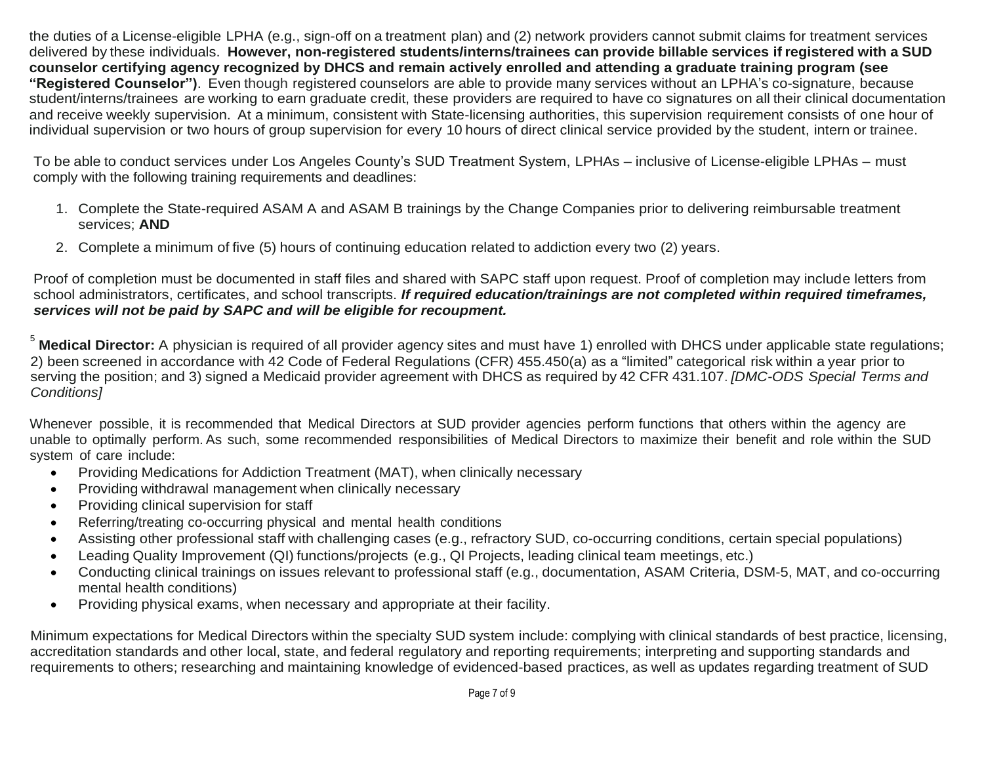the duties of a License-eligible LPHA (e.g., sign-off on a treatment plan) and (2) network providers cannot submit claims for treatment services delivered by these individuals. **However, non-registered students/interns/trainees can provide billable services if registered with a SUD counselor certifying agency recognized by DHCS and remain actively enrolled and attending a graduate training program (see "Registered Counselor")**. Even though registered counselors are able to provide many services without an LPHA's co-signature, because student/interns/trainees are working to earn graduate credit, these providers are required to have co signatures on all their clinical documentation and receive weekly supervision. At a minimum, consistent with State-licensing authorities, this supervision requirement consists of one hour of individual supervision or two hours of group supervision for every 10 hours of direct clinical service provided by the student, intern or trainee.

To be able to conduct services under Los Angeles County's SUD Treatment System, LPHAs – inclusive of License-eligible LPHAs – must comply with the following training requirements and deadlines:

- 1. Complete the State-required ASAM A and ASAM B trainings by the Change Companies prior to delivering reimbursable treatment services; **AND**
- 2. Complete a minimum of five (5) hours of continuing education related to addiction every two (2) years.

Proof of completion must be documented in staff files and shared with SAPC staff upon request. Proof of completion may include letters from school administrators, certificates, and school transcripts. *If required education/trainings are not completed within required timeframes, services will not be paid by SAPC and will be eligible for recoupment.*

<sup>5</sup> Medical Director: A physician is required of all provider agency sites and must have 1) enrolled with DHCS under applicable state regulations; 2) been screened in accordance with 42 Code of Federal Regulations (CFR) 455.450(a) as a "limited" categorical risk within a year prior to serving the position; and 3) signed a Medicaid provider agreement with DHCS as required by 42 CFR 431.107. *[DMC-ODS Special Terms and Conditions]*

Whenever possible, it is recommended that Medical Directors at SUD provider agencies perform functions that others within the agency are unable to optimally perform. As such, some recommended responsibilities of Medical Directors to maximize their benefit and role within the SUD system of care include:

- Providing Medications for Addiction Treatment (MAT), when clinically necessary
- Providing withdrawal management when clinically necessary
- Providing clinical supervision for staff
- Referring/treating co-occurring physical and mental health conditions
- Assisting other professional staff with challenging cases (e.g., refractory SUD, co-occurring conditions, certain special populations)
- Leading Quality Improvement (QI) functions/projects (e.g., QI Projects, leading clinical team meetings, etc.)
- Conducting clinical trainings on issues relevant to professional staff (e.g., documentation, ASAM Criteria, DSM-5, MAT, and co-occurring mental health conditions)
- Providing physical exams, when necessary and appropriate at their facility.

Minimum expectations for Medical Directors within the specialty SUD system include: complying with clinical standards of best practice, licensing, accreditation standards and other local, state, and federal regulatory and reporting requirements; interpreting and supporting standards and requirements to others; researching and maintaining knowledge of evidenced-based practices, as well as updates regarding treatment of SUD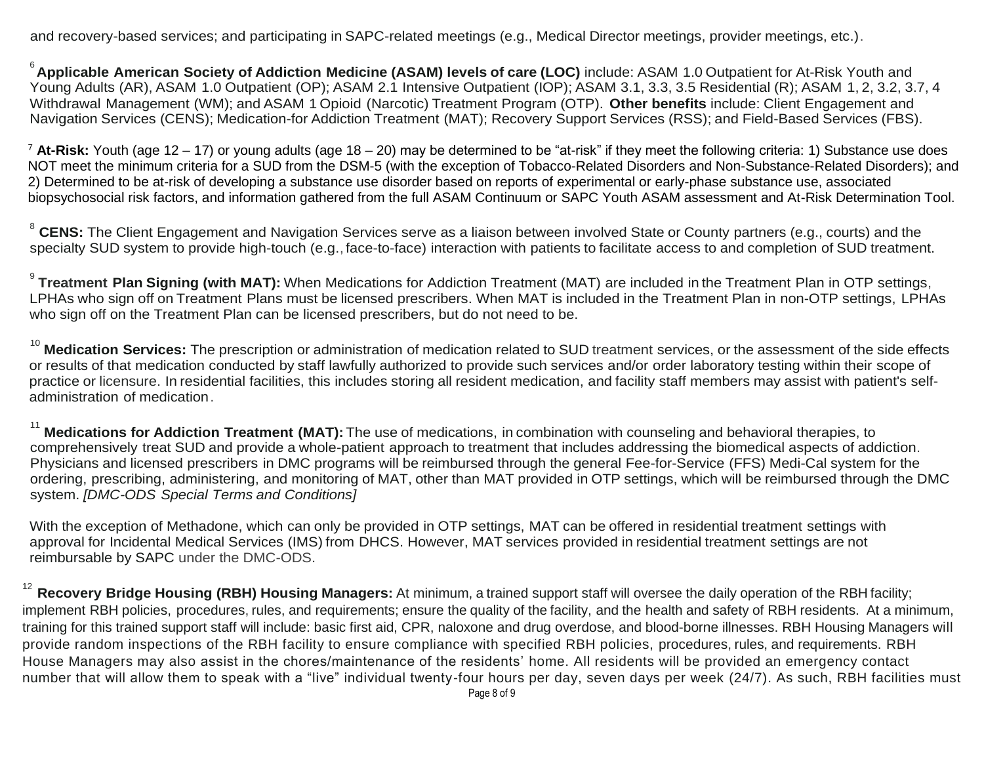and recovery-based services; and participating in SAPC-related meetings (e.g., Medical Director meetings, provider meetings, etc.).

6 **Applicable American Society of Addiction Medicine (ASAM) levels of care (LOC)** include: ASAM 1.0 Outpatient for At-Risk Youth and Young Adults (AR), ASAM 1.0 Outpatient (OP); ASAM 2.1 Intensive Outpatient (IOP); ASAM 3.1, 3.3, 3.5 Residential (R); ASAM 1, 2, 3.2, 3.7, 4 Withdrawal Management (WM); and ASAM 1 Opioid (Narcotic) Treatment Program (OTP). **Other benefits** include: Client Engagement and Navigation Services (CENS); Medication-for Addiction Treatment (MAT); Recovery Support Services (RSS); and Field-Based Services (FBS).

<sup>7</sup> **At-Risk:** Youth (age 12 – 17) or young adults (age 18 – 20) may be determined to be "at-risk" if they meet the following criteria: 1) Substance use does NOT meet the minimum criteria for a SUD from the DSM-5 (with the exception of Tobacco-Related Disorders and Non-Substance-Related Disorders); and 2) Determined to be at-risk of developing a substance use disorder based on reports of experimental or early-phase substance use, associated biopsychosocial risk factors, and information gathered from the full ASAM Continuum or SAPC Youth ASAM assessment and At-Risk Determination Tool.

<sup>8</sup> CENS: The Client Engagement and Navigation Services serve as a liaison between involved State or County partners (e.g., courts) and the specialty SUD system to provide high-touch (e.g., face-to-face) interaction with patients to facilitate access to and completion of SUD treatment.

9 **Treatment Plan Signing (with MAT):** When Medications for Addiction Treatment (MAT) are included in the Treatment Plan in OTP settings, LPHAs who sign off on Treatment Plans must be licensed prescribers. When MAT is included in the Treatment Plan in non-OTP settings, LPHAs who sign off on the Treatment Plan can be licensed prescribers, but do not need to be.

<sup>10</sup> Medication Services: The prescription or administration of medication related to SUD treatment services, or the assessment of the side effects or results of that medication conducted by staff lawfully authorized to provide such services and/or order laboratory testing within their scope of practice or licensure. In residential facilities, this includes storing all resident medication, and facility staff members may assist with patient's selfadministration of medication.

<sup>11</sup> **Medications for Addiction Treatment (MAT):** The use of medications, in combination with counseling and behavioral therapies, to comprehensively treat SUD and provide a whole-patient approach to treatment that includes addressing the biomedical aspects of addiction. Physicians and licensed prescribers in DMC programs will be reimbursed through the general Fee-for-Service (FFS) Medi-Cal system for the ordering, prescribing, administering, and monitoring of MAT, other than MAT provided in OTP settings, which will be reimbursed through the DMC system. *[DMC-ODS Special Terms and Conditions]*

With the exception of Methadone, which can only be provided in OTP settings, MAT can be offered in residential treatment settings with approval for Incidental Medical Services (IMS) from DHCS. However, MAT services provided in residential treatment settings are not reimbursable by SAPC under the DMC-ODS.

12 **Recovery Bridge Housing (RBH) Housing Managers:** At minimum, a trained support staff will oversee the daily operation of the RBH facility; implement RBH policies, procedures, rules, and requirements; ensure the quality of the facility, and the health and safety of RBH residents. At a minimum, training for this trained support staff will include: basic first aid, CPR, naloxone and drug overdose, and blood-borne illnesses. RBH Housing Managers will provide random inspections of the RBH facility to ensure compliance with specified RBH policies, procedures, rules, and requirements. RBH House Managers may also assist in the chores/maintenance of the residents' home. All residents will be provided an emergency contact number that will allow them to speak with a "live" individual twenty-four hours per day, seven days per week (24/7). As such, RBH facilities must